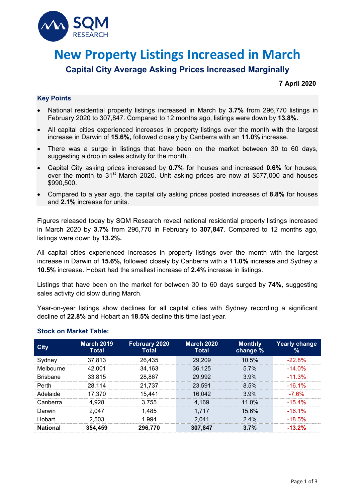

# **New Property Listings Increased in March**

## **Capital City Average Asking Prices Increased Marginally**

#### **7 April 2020**

#### **Key Points**

- National residential property listings increased in March by **3.7%** from 296,770 listings in February 2020 to 307,847. Compared to 12 months ago, listings were down by **13.8%.**
- All capital cities experienced increases in property listings over the month with the largest increase in Darwin of **15.6%,** followed closely by Canberra with an **11.0%** increase.
- There was a surge in listings that have been on the market between 30 to 60 days, suggesting a drop in sales activity for the month.
- Capital City asking prices increased by **0.7%** for houses and increased **0.6%** for houses, over the month to 31<sup>st</sup> March 2020. Unit asking prices are now at \$577,000 and houses \$990,500.
- Compared to a year ago, the capital city asking prices posted increases of **8.8%** for houses and **2.1%** increase for units.

Figures released today by SQM Research reveal national residential property listings increased in March 2020 by **3.7%** from 296,770 in February to **307,847**. Compared to 12 months ago, listings were down by **13.2%.** 

All capital cities experienced increases in property listings over the month with the largest increase in Darwin of **15.6%,** followed closely by Canberra with a **11.0%** increase and Sydney a **10.5%** increase. Hobart had the smallest increase of **2.4%** increase in listings.

Listings that have been on the market for between 30 to 60 days surged by **74%**, suggesting sales activity did slow during March.

Year-on-year listings show declines for all capital cities with Sydney recording a significant decline of **22.8%** and Hobart an **18**.**5%** decline this time last year.

| City            | <b>March 2019</b><br>Total | February 2020<br><b>Total</b> | <b>March 2020</b><br>Total | <b>Monthly</b><br>change % | Yearly change<br>% |
|-----------------|----------------------------|-------------------------------|----------------------------|----------------------------|--------------------|
| Sydney          | 37,813                     | 26,435                        | 29.209                     | 10.5%                      | $-22.8%$           |
| Melbourne       | -001                       | 34.163                        | 36.125                     | 57%                        | $-14.0\%$          |
| <b>Brishane</b> | 33.815                     | 28,867                        | 29.992                     | $3.9\%$                    | $-11.3\%$          |
| Perth           | 28.114                     | 21.737                        | 23.591                     | 8.5%                       | $-16, 1\%$         |
| Adelaide        | 17.370                     | 15.441                        | 16,042                     | $3.9\%$                    | -7.6%              |
| Canberra        | 4.928                      | 3.755                         | 4.169                      | 11 $0\%$                   | $-15.4%$           |
| Darwin          | 2.047                      | 1.485                         | 1.717                      | 15.6%                      | $-16.1\%$          |
| Hobart          | 2.503                      | .994                          | 2.041                      | $2.4\%$                    | $-18.5\%$          |
| National        | 354,459                    | 296.770                       | 307.847                    | 3.7%                       | $-13.2%$           |

#### **Stock on Market Table:**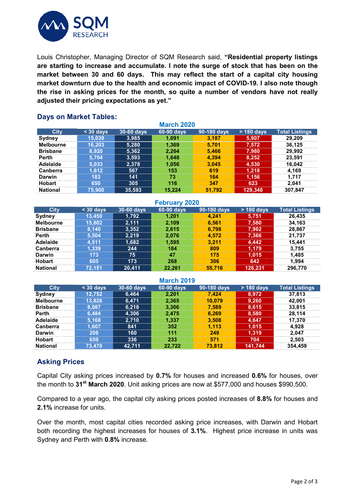

Louis Christopher, Managing Director of SQM Research said, **"Residential property listings are starting to increase and accumulate. I note the surge of stock that has been on the market between 30 and 60 days. This may reflect the start of a capital city housing market downturn due to the health and economic impact of COVID-19. I also note though the rise in asking prices for the month, so quite a number of vendors have not really adjusted their pricing expectations as yet."**

#### **March 2020 City < 30 days 30-60 days 60-90 days 90-180 days > 180 days Total Listings Sydney 15,039 3,985 1,091 3,187 5,907 29,209 Melbourne 16,203 5,280 1,369 5,701 7,572 36,125 Brisbane 8,920 5,362 2,264 5,466 7,980 29,992 Perth 5,704 3,593 1,648 4,394 8,252 23,591 Adelaide 5,033 2,378 1,056 3,045 4,530 16,042 Canberra 1,612 567 153 619 1,218 4,169 Darwin 183 141 73 164 1,156 1,717 Hobart 650 305 116 347 623 2,041 National 75,900 35,583 15,224 51,792 129,348 307,847**

### **Days on Market Tables:**

| <b>February 2020</b> |           |            |            |             |              |                       |  |  |
|----------------------|-----------|------------|------------|-------------|--------------|-----------------------|--|--|
| City                 | $30$ days | 30-60 days | 60-90 days | 90-180 days | $> 180$ days | <b>Total Listings</b> |  |  |
| Sydney               | 13.450    | 1.792      | 1.201      | 4.241       | 5.751        | 26.435                |  |  |
| <b>Melbourne</b>     | 15.802    | 2.111      | 2.109      | 6.561       | 7,580        | 34.163                |  |  |
| <b>Brisbane</b>      | 8.140     | 3,352      | 2.615      | 6.798       | 7,962        | 28.867                |  |  |
| <b>Perth</b>         | 5.504     | 2,219      | 2.076      | 4.572       | 7,366        | 21.737                |  |  |
| Adelaide             | 4.511     | 1,682      | 1.595      | 3.211       | 4,442        | 15.441                |  |  |
| <b>Canberra</b>      | .339      | 244        | 184        | 809         | 1.179        | 3.755                 |  |  |
| Darwin               | 173       | 75         | 47         | 175         | 1,015        | 1.485                 |  |  |
| <b>Hobart</b>        | 605       | 173        | 268        | 306         | 642          | 1.994                 |  |  |
| <b>National</b>      | 72.151    | 20.411     | 22.261     | 55.716      | 126.231      | 296,770               |  |  |

#### **March 2019 City < 30 days 30-60 days 60-90 days 90-180 days > 180 days Total Listings Sydney 12,752 6,464 2,201 7,424 8,972 37,813 Melbourne 13,826 6,471 2,365 10,079 9,260 42,001 Brisbane 8,087 6,218 3,306 7,589 8,615 33,815 Perth 6,484 4,306 2,475 6,269 8,580 28,114 Adelaide 5,168 2,710 1,337 3,508 4,647 17,370 Canberra 1,607 841 352 1,113 1,015 4,928 Darwin 208 160 111 249 1,319 2,047 Hobart 659 336 233 571 704 2,503 National 73,470 42,711 22,722 73,812 141,744 354,459**

## **Asking Prices**

Capital City asking prices increased by **0.7%** for houses and increased **0.6%** for houses, over the month to **31st March 2020**. Unit asking prices are now at \$577,000 and houses \$990,500.

Compared to a year ago, the capital city asking prices posted increases of **8.8%** for houses and **2.1%** increase for units.

Over the month, most capital cities recorded asking price increases, with Darwin and Hobart both recording the highest increases for houses of **3.1%**. Highest price increase in units was Sydney and Perth with **0.8%** increase.